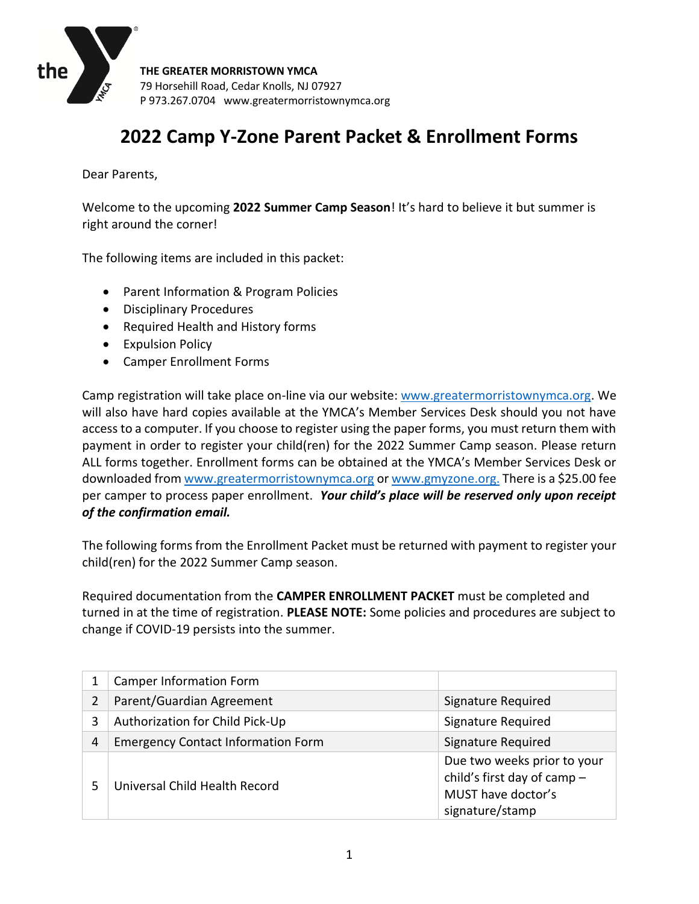

# **2022 Camp Y-Zone Parent Packet & Enrollment Forms**

Dear Parents,

Welcome to the upcoming **2022 Summer Camp Season**! It's hard to believe it but summer is right around the corner!

The following items are included in this packet:

- Parent Information & Program Policies
- Disciplinary Procedures
- Required Health and History forms
- Expulsion Policy
- Camper Enrollment Forms

Camp registration will take place on-line via our website: [www.greatermorristownymca.org.](http://www.greatermorristownymca.org/) We will also have hard copies available at the YMCA's Member Services Desk should you not have access to a computer. If you choose to register using the paper forms, you must return them with payment in order to register your child(ren) for the 2022 Summer Camp season. Please return ALL forms together. Enrollment forms can be obtained at the YMCA's Member Services Desk or downloaded fro[m www.greatermorristownymca.org](http://www.greatermorristownymca.org/) or [www.gmyzone.org.](http://www.gmyzone.org/) There is a \$25.00 fee per camper to process paper enrollment. *Your child's place will be reserved only upon receipt of the confirmation email.*

The following forms from the Enrollment Packet must be returned with payment to register your child(ren) for the 2022 Summer Camp season.

Required documentation from the **CAMPER ENROLLMENT PACKET** must be completed and turned in at the time of registration. **PLEASE NOTE:** Some policies and procedures are subject to change if COVID-19 persists into the summer.

|   | <b>Camper Information Form</b>            |                                                                                                     |
|---|-------------------------------------------|-----------------------------------------------------------------------------------------------------|
|   | Parent/Guardian Agreement                 | Signature Required                                                                                  |
| 3 | Authorization for Child Pick-Up           | Signature Required                                                                                  |
| 4 | <b>Emergency Contact Information Form</b> | Signature Required                                                                                  |
|   | Universal Child Health Record             | Due two weeks prior to your<br>child's first day of camp -<br>MUST have doctor's<br>signature/stamp |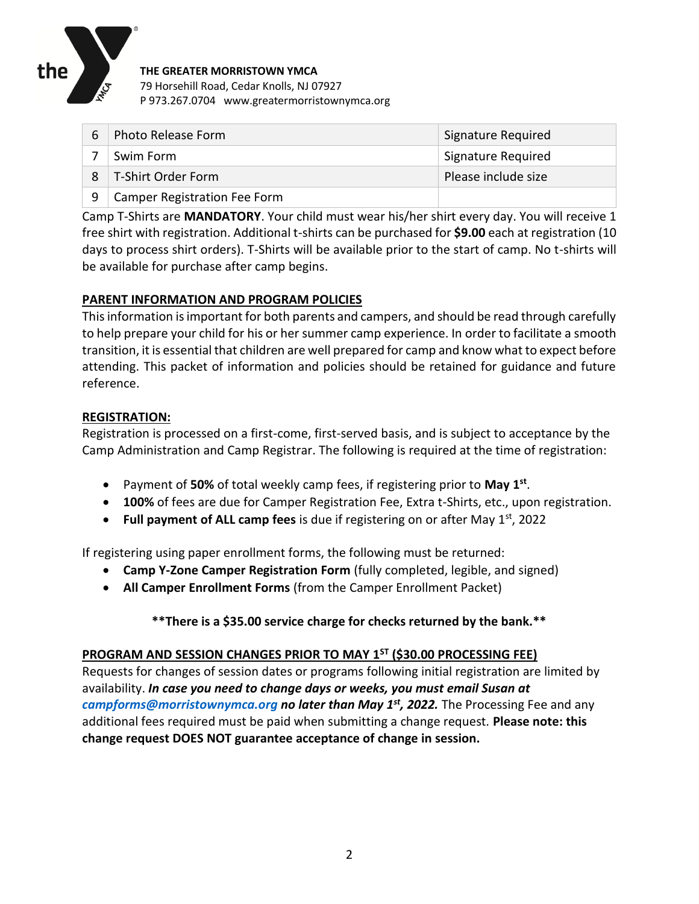

| 6 | Photo Release Form           | <b>Signature Required</b> |
|---|------------------------------|---------------------------|
|   | Swim Form                    | <b>Signature Required</b> |
|   | T-Shirt Order Form           | Please include size       |
| 9 | Camper Registration Fee Form |                           |

Camp T-Shirts are **MANDATORY**. Your child must wear his/her shirt every day. You will receive 1 free shirt with registration. Additional t-shirts can be purchased for **\$9.00** each at registration (10 days to process shirt orders). T-Shirts will be available prior to the start of camp. No t-shirts will be available for purchase after camp begins.

# **PARENT INFORMATION AND PROGRAM POLICIES**

This information is important for both parents and campers, and should be read through carefully to help prepare your child for his or her summer camp experience. In order to facilitate a smooth transition, it is essential that children are well prepared for camp and know what to expect before attending. This packet of information and policies should be retained for guidance and future reference.

# **REGISTRATION:**

Registration is processed on a first-come, first-served basis, and is subject to acceptance by the Camp Administration and Camp Registrar. The following is required at the time of registration:

- Payment of **50%** of total weekly camp fees, if registering prior to **May 1st** .
- **100%** of fees are due for Camper Registration Fee, Extra t-Shirts, etc., upon registration.
- Full payment of ALL camp fees is due if registering on or after May 1<sup>st</sup>, 2022

If registering using paper enrollment forms, the following must be returned:

- **Camp Y-Zone Camper Registration Form** (fully completed, legible, and signed)
- **All Camper Enrollment Forms** (from the Camper Enrollment Packet)

# **\*\*There is a \$35.00 service charge for checks returned by the bank.\*\***

## **PROGRAM AND SESSION CHANGES PRIOR TO MAY 1ST (\$30.00 PROCESSING FEE)**

Requests for changes of session dates or programs following initial registration are limited by availability. *In case you need to change days or weeks, you must email Susan at [campforms@morristownymca.org](mailto:campforms@morristownymca.org) no later than May 1st, 2022.* The Processing Fee and any additional fees required must be paid when submitting a change request. **Please note: this change request DOES NOT guarantee acceptance of change in session.**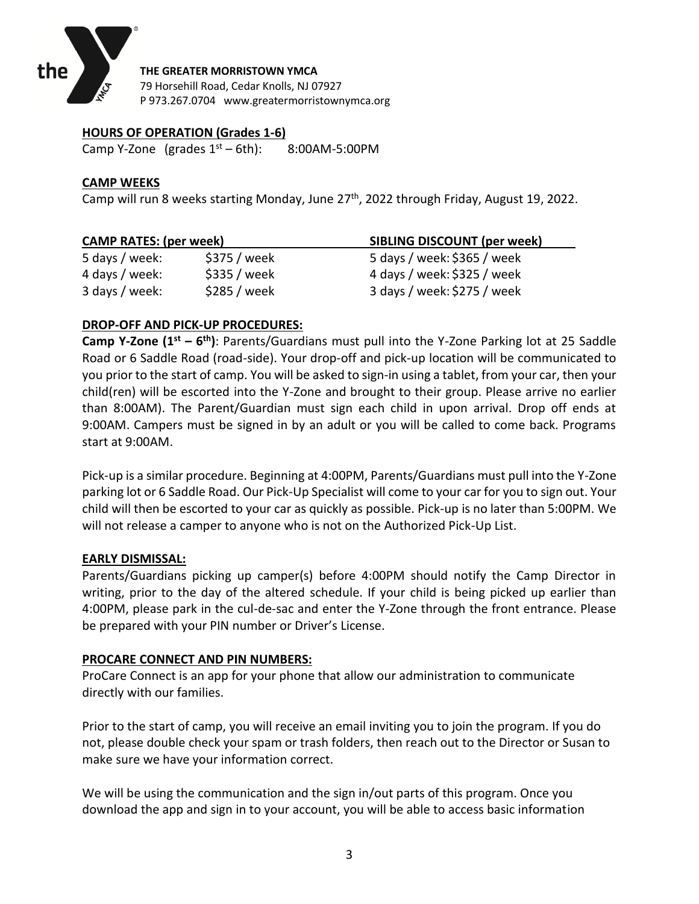

## **HOURS OF OPERATION (Grades 1-6)**

Camp Y-Zone (grades  $1<sup>st</sup> - 6th$ ): 8:00AM-5:00PM

## **CAMP WEEKS**

Camp will run 8 weeks starting Monday, June 27<sup>th</sup>, 2022 through Friday, August 19, 2022.

| <b>CAMP RATES: (per week)</b> |              | <b>SIBLING DISCOUNT (per week)</b> |  |  |  |
|-------------------------------|--------------|------------------------------------|--|--|--|
| 5 days / week:                | \$375 / week | 5 days / week: \$365 / week        |  |  |  |
| 4 days / week:                | \$335 / week | 4 days / week: \$325 / week        |  |  |  |
| 3 days / week:                | \$285 / week | 3 days / week: \$275 / week        |  |  |  |

## **DROP-OFF AND PICK-UP PROCEDURES:**

**Camp Y-Zone (1st – 6 th)**: Parents/Guardians must pull into the Y-Zone Parking lot at 25 Saddle Road or 6 Saddle Road (road-side). Your drop-off and pick-up location will be communicated to you prior to the start of camp. You will be asked to sign-in using a tablet, from your car, then your child(ren) will be escorted into the Y-Zone and brought to their group. Please arrive no earlier than 8:00AM). The Parent/Guardian must sign each child in upon arrival. Drop off ends at 9:00AM. Campers must be signed in by an adult or you will be called to come back. Programs start at 9:00AM.

Pick-up is a similar procedure. Beginning at 4:00PM, Parents/Guardians must pull into the Y-Zone parking lot or 6 Saddle Road. Our Pick-Up Specialist will come to your car for you to sign out. Your child will then be escorted to your car as quickly as possible. Pick-up is no later than 5:00PM. We will not release a camper to anyone who is not on the Authorized Pick-Up List.

## **EARLY DISMISSAL:**

Parents/Guardians picking up camper(s) before 4:00PM should notify the Camp Director in writing, prior to the day of the altered schedule. If your child is being picked up earlier than 4:00PM, please park in the cul-de-sac and enter the Y-Zone through the front entrance. Please be prepared with your PIN number or Driver's License.

## **PROCARE CONNECT AND PIN NUMBERS:**

ProCare Connect is an app for your phone that allow our administration to communicate directly with our families.

Prior to the start of camp, you will receive an email inviting you to join the program. If you do not, please double check your spam or trash folders, then reach out to the Director or Susan to make sure we have your information correct.

We will be using the communication and the sign in/out parts of this program. Once you download the app and sign in to your account, you will be able to access basic information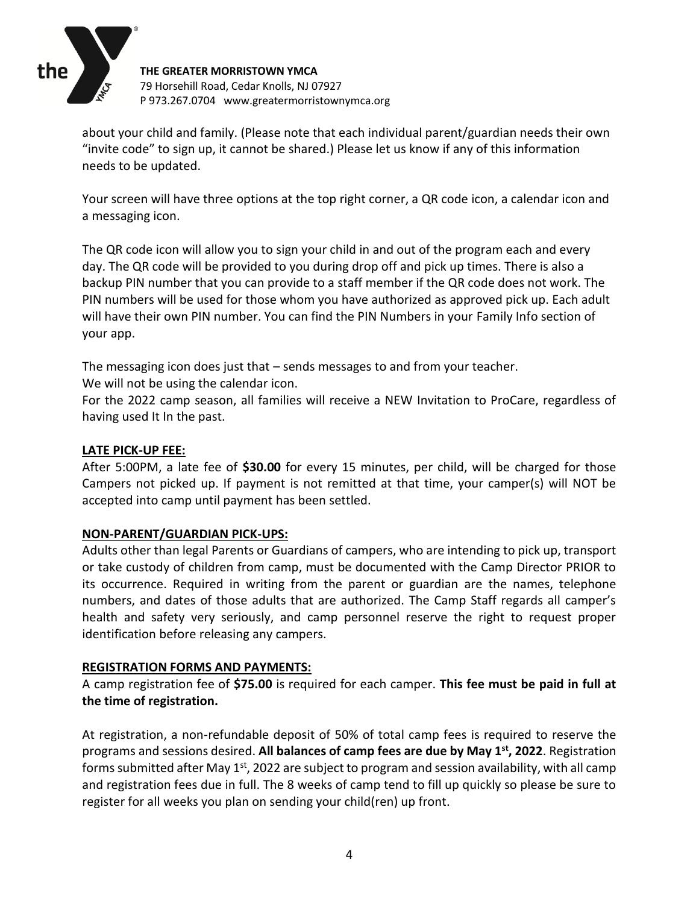

about your child and family. (Please note that each individual parent/guardian needs their own "invite code" to sign up, it cannot be shared.) Please let us know if any of this information needs to be updated.

Your screen will have three options at the top right corner, a QR code icon, a calendar icon and a messaging icon.

The QR code icon will allow you to sign your child in and out of the program each and every day. The QR code will be provided to you during drop off and pick up times. There is also a backup PIN number that you can provide to a staff member if the QR code does not work. The PIN numbers will be used for those whom you have authorized as approved pick up. Each adult will have their own PIN number. You can find the PIN Numbers in your Family Info section of your app.

The messaging icon does just that – sends messages to and from your teacher.

We will not be using the calendar icon.

For the 2022 camp season, all families will receive a NEW Invitation to ProCare, regardless of having used It In the past.

## **LATE PICK-UP FEE:**

After 5:00PM, a late fee of **\$30.00** for every 15 minutes, per child, will be charged for those Campers not picked up. If payment is not remitted at that time, your camper(s) will NOT be accepted into camp until payment has been settled.

## **NON-PARENT/GUARDIAN PICK-UPS:**

Adults other than legal Parents or Guardians of campers, who are intending to pick up, transport or take custody of children from camp, must be documented with the Camp Director PRIOR to its occurrence. Required in writing from the parent or guardian are the names, telephone numbers, and dates of those adults that are authorized. The Camp Staff regards all camper's health and safety very seriously, and camp personnel reserve the right to request proper identification before releasing any campers.

## **REGISTRATION FORMS AND PAYMENTS:**

A camp registration fee of **\$75.00** is required for each camper. **This fee must be paid in full at the time of registration.**

At registration, a non-refundable deposit of 50% of total camp fees is required to reserve the programs and sessions desired. **All balances of camp fees are due by May 1st , 2022**. Registration forms submitted after May 1<sup>st</sup>, 2022 are subject to program and session availability, with all camp and registration fees due in full. The 8 weeks of camp tend to fill up quickly so please be sure to register for all weeks you plan on sending your child(ren) up front.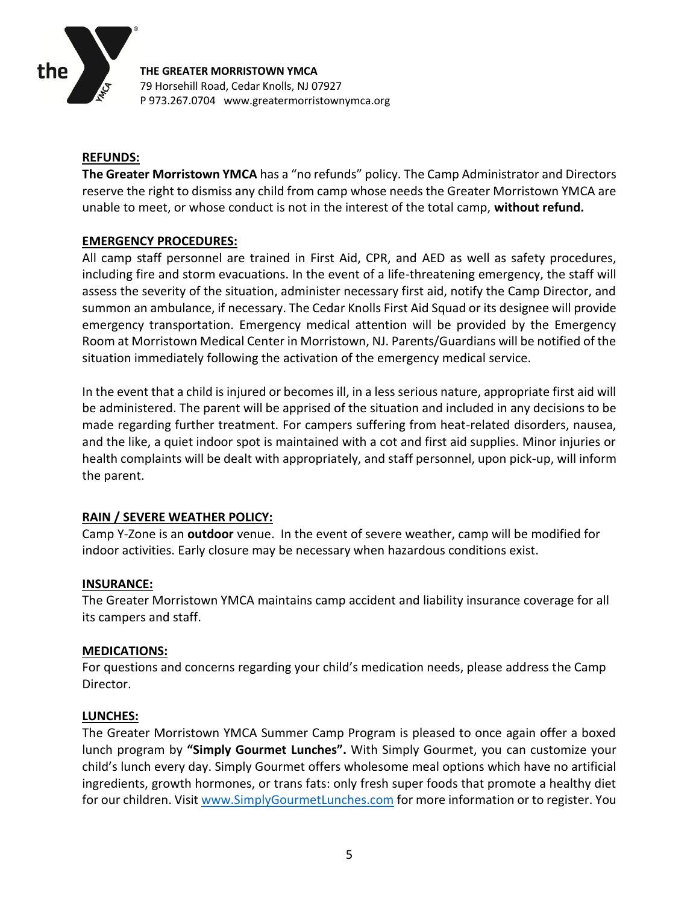

## **REFUNDS:**

**The Greater Morristown YMCA** has a "no refunds" policy. The Camp Administrator and Directors reserve the right to dismiss any child from camp whose needs the Greater Morristown YMCA are unable to meet, or whose conduct is not in the interest of the total camp, **without refund.**

## **EMERGENCY PROCEDURES:**

All camp staff personnel are trained in First Aid, CPR, and AED as well as safety procedures, including fire and storm evacuations. In the event of a life-threatening emergency, the staff will assess the severity of the situation, administer necessary first aid, notify the Camp Director, and summon an ambulance, if necessary. The Cedar Knolls First Aid Squad or its designee will provide emergency transportation. Emergency medical attention will be provided by the Emergency Room at Morristown Medical Center in Morristown, NJ. Parents/Guardians will be notified of the situation immediately following the activation of the emergency medical service.

In the event that a child is injured or becomes ill, in a less serious nature, appropriate first aid will be administered. The parent will be apprised of the situation and included in any decisions to be made regarding further treatment. For campers suffering from heat-related disorders, nausea, and the like, a quiet indoor spot is maintained with a cot and first aid supplies. Minor injuries or health complaints will be dealt with appropriately, and staff personnel, upon pick-up, will inform the parent.

## **RAIN / SEVERE WEATHER POLICY:**

Camp Y-Zone is an **outdoor** venue. In the event of severe weather, camp will be modified for indoor activities. Early closure may be necessary when hazardous conditions exist.

## **INSURANCE:**

The Greater Morristown YMCA maintains camp accident and liability insurance coverage for all its campers and staff.

## **MEDICATIONS:**

For questions and concerns regarding your child's medication needs, please address the Camp Director.

## **LUNCHES:**

The Greater Morristown YMCA Summer Camp Program is pleased to once again offer a boxed lunch program by **"Simply Gourmet Lunches".** With Simply Gourmet, you can customize your child's lunch every day. Simply Gourmet offers wholesome meal options which have no artificial ingredients, growth hormones, or trans fats: only fresh super foods that promote a healthy diet for our children. Visit [www.SimplyGourmetLunches.com](http://www.simplygourmetlunches.com/) for more information or to register. You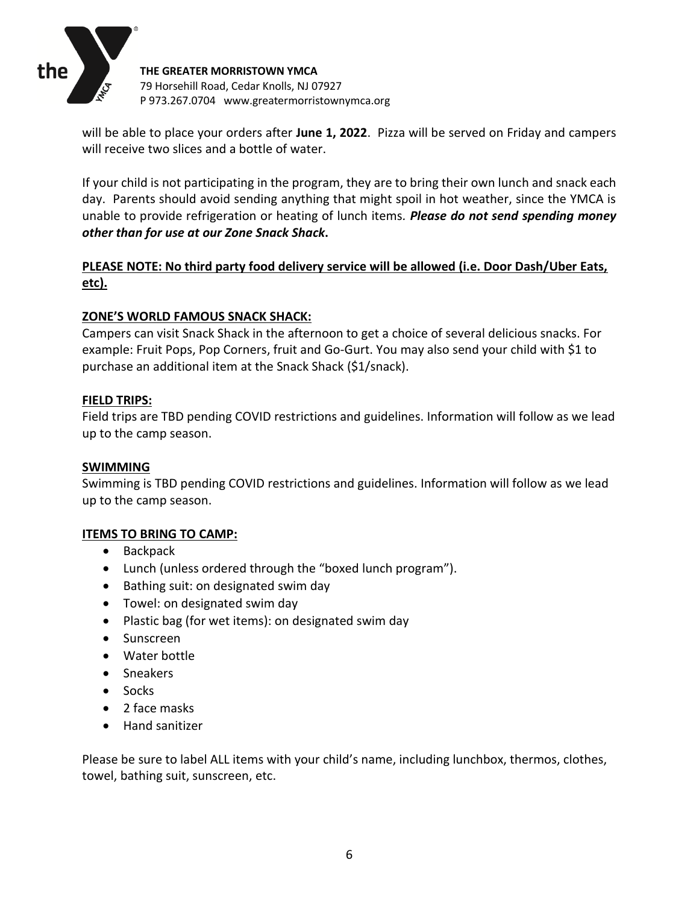

will be able to place your orders after **June 1, 2022**. Pizza will be served on Friday and campers will receive two slices and a bottle of water.

If your child is not participating in the program, they are to bring their own lunch and snack each day. Parents should avoid sending anything that might spoil in hot weather, since the YMCA is unable to provide refrigeration or heating of lunch items*. Please do not send spending money other than for use at our Zone Snack Shack***.** 

# **PLEASE NOTE: No third party food delivery service will be allowed (i.e. Door Dash/Uber Eats, etc).**

## **ZONE'S WORLD FAMOUS SNACK SHACK:**

Campers can visit Snack Shack in the afternoon to get a choice of several delicious snacks. For example: Fruit Pops, Pop Corners, fruit and Go-Gurt. You may also send your child with \$1 to purchase an additional item at the Snack Shack (\$1/snack).

## **FIELD TRIPS:**

Field trips are TBD pending COVID restrictions and guidelines. Information will follow as we lead up to the camp season.

## **SWIMMING**

Swimming is TBD pending COVID restrictions and guidelines. Information will follow as we lead up to the camp season.

## **ITEMS TO BRING TO CAMP:**

- Backpack
- Lunch (unless ordered through the "boxed lunch program").
- Bathing suit: on designated swim day
- Towel: on designated swim day
- Plastic bag (for wet items): on designated swim day
- Sunscreen
- Water bottle
- Sneakers
- Socks
- 2 face masks
- Hand sanitizer

Please be sure to label ALL items with your child's name, including lunchbox, thermos, clothes, towel, bathing suit, sunscreen, etc.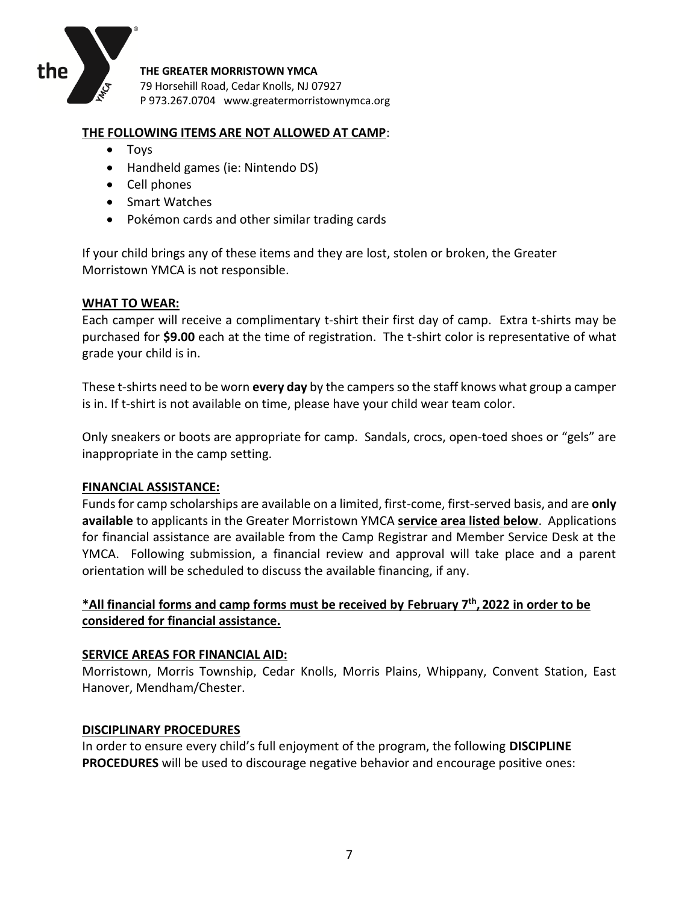

#### **THE FOLLOWING ITEMS ARE NOT ALLOWED AT CAMP**:

- Toys
- Handheld games (ie: Nintendo DS)
- Cell phones
- Smart Watches
- Pokémon cards and other similar trading cards

If your child brings any of these items and they are lost, stolen or broken, the Greater Morristown YMCA is not responsible.

#### **WHAT TO WEAR:**

Each camper will receive a complimentary t-shirt their first day of camp. Extra t-shirts may be purchased for **\$9.00** each at the time of registration. The t-shirt color is representative of what grade your child is in.

These t-shirts need to be worn **every day** by the campers so the staff knows what group a camper is in. If t-shirt is not available on time, please have your child wear team color.

Only sneakers or boots are appropriate for camp. Sandals, crocs, open-toed shoes or "gels" are inappropriate in the camp setting.

#### **FINANCIAL ASSISTANCE:**

Funds for camp scholarships are available on a limited, first-come, first-served basis, and are **only available** to applicants in the Greater Morristown YMCA **service area listed below**. Applications for financial assistance are available from the Camp Registrar and Member Service Desk at the YMCA. Following submission, a financial review and approval will take place and a parent orientation will be scheduled to discuss the available financing, if any.

## **\*All financial forms and camp forms must be received by February 7 th , 2022 in order to be considered for financial assistance.**

#### **SERVICE AREAS FOR FINANCIAL AID:**

Morristown, Morris Township, Cedar Knolls, Morris Plains, Whippany, Convent Station, East Hanover, Mendham/Chester.

#### **DISCIPLINARY PROCEDURES**

In order to ensure every child's full enjoyment of the program, the following **DISCIPLINE PROCEDURES** will be used to discourage negative behavior and encourage positive ones: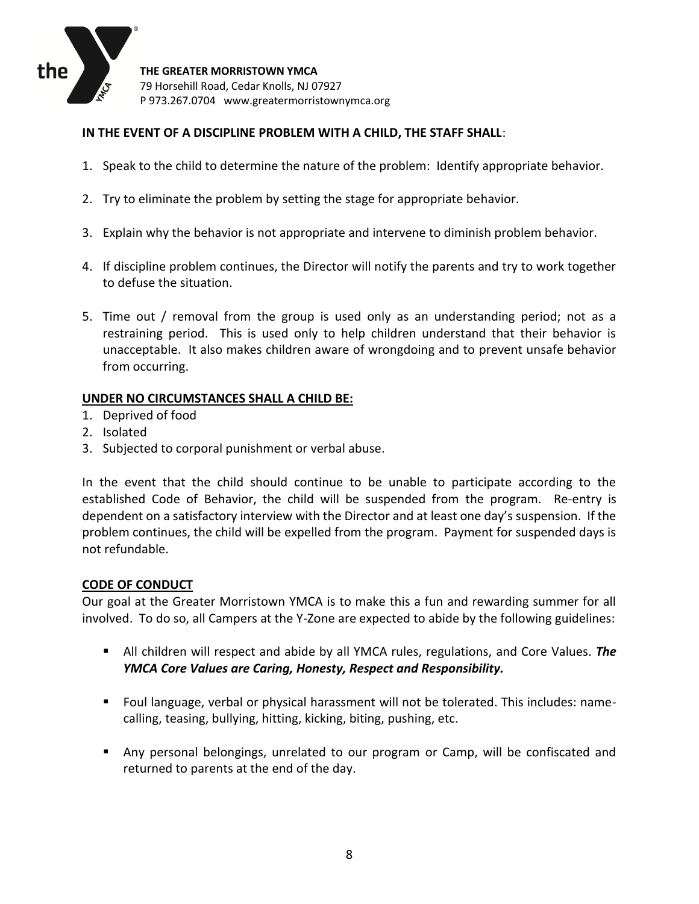

## **IN THE EVENT OF A DISCIPLINE PROBLEM WITH A CHILD, THE STAFF SHALL**:

- 1. Speak to the child to determine the nature of the problem: Identify appropriate behavior.
- 2. Try to eliminate the problem by setting the stage for appropriate behavior.
- 3. Explain why the behavior is not appropriate and intervene to diminish problem behavior.
- 4. If discipline problem continues, the Director will notify the parents and try to work together to defuse the situation.
- 5. Time out / removal from the group is used only as an understanding period; not as a restraining period. This is used only to help children understand that their behavior is unacceptable. It also makes children aware of wrongdoing and to prevent unsafe behavior from occurring.

## **UNDER NO CIRCUMSTANCES SHALL A CHILD BE:**

- 1. Deprived of food
- 2. Isolated
- 3. Subjected to corporal punishment or verbal abuse.

In the event that the child should continue to be unable to participate according to the established Code of Behavior, the child will be suspended from the program. Re-entry is dependent on a satisfactory interview with the Director and at least one day's suspension. If the problem continues, the child will be expelled from the program. Payment for suspended days is not refundable.

#### **CODE OF CONDUCT**

Our goal at the Greater Morristown YMCA is to make this a fun and rewarding summer for all involved. To do so, all Campers at the Y-Zone are expected to abide by the following guidelines:

- All children will respect and abide by all YMCA rules, regulations, and Core Values. *The YMCA Core Values are Caring, Honesty, Respect and Responsibility.*
- Foul language, verbal or physical harassment will not be tolerated. This includes: namecalling, teasing, bullying, hitting, kicking, biting, pushing, etc.
- Any personal belongings, unrelated to our program or Camp, will be confiscated and returned to parents at the end of the day.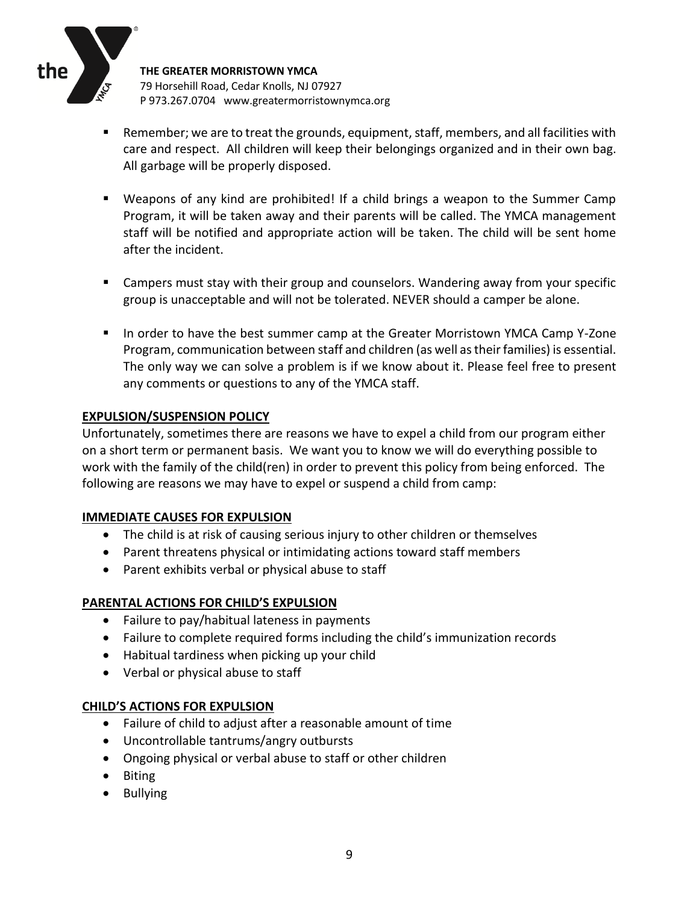

- Remember; we are to treat the grounds, equipment, staff, members, and all facilities with care and respect. All children will keep their belongings organized and in their own bag. All garbage will be properly disposed.
- Weapons of any kind are prohibited! If a child brings a weapon to the Summer Camp Program, it will be taken away and their parents will be called. The YMCA management staff will be notified and appropriate action will be taken. The child will be sent home after the incident.
- Campers must stay with their group and counselors. Wandering away from your specific group is unacceptable and will not be tolerated. NEVER should a camper be alone.
- In order to have the best summer camp at the Greater Morristown YMCA Camp Y-Zone Program, communication between staff and children (as well as their families) is essential. The only way we can solve a problem is if we know about it. Please feel free to present any comments or questions to any of the YMCA staff.

## **EXPULSION/SUSPENSION POLICY**

Unfortunately, sometimes there are reasons we have to expel a child from our program either on a short term or permanent basis. We want you to know we will do everything possible to work with the family of the child(ren) in order to prevent this policy from being enforced. The following are reasons we may have to expel or suspend a child from camp:

## **IMMEDIATE CAUSES FOR EXPULSION**

- The child is at risk of causing serious injury to other children or themselves
- Parent threatens physical or intimidating actions toward staff members
- Parent exhibits verbal or physical abuse to staff

# **PARENTAL ACTIONS FOR CHILD'S EXPULSION**

- Failure to pay/habitual lateness in payments
- Failure to complete required forms including the child's immunization records
- Habitual tardiness when picking up your child
- Verbal or physical abuse to staff

## **CHILD'S ACTIONS FOR EXPULSION**

- Failure of child to adjust after a reasonable amount of time
- Uncontrollable tantrums/angry outbursts
- Ongoing physical or verbal abuse to staff or other children
- Biting
- Bullying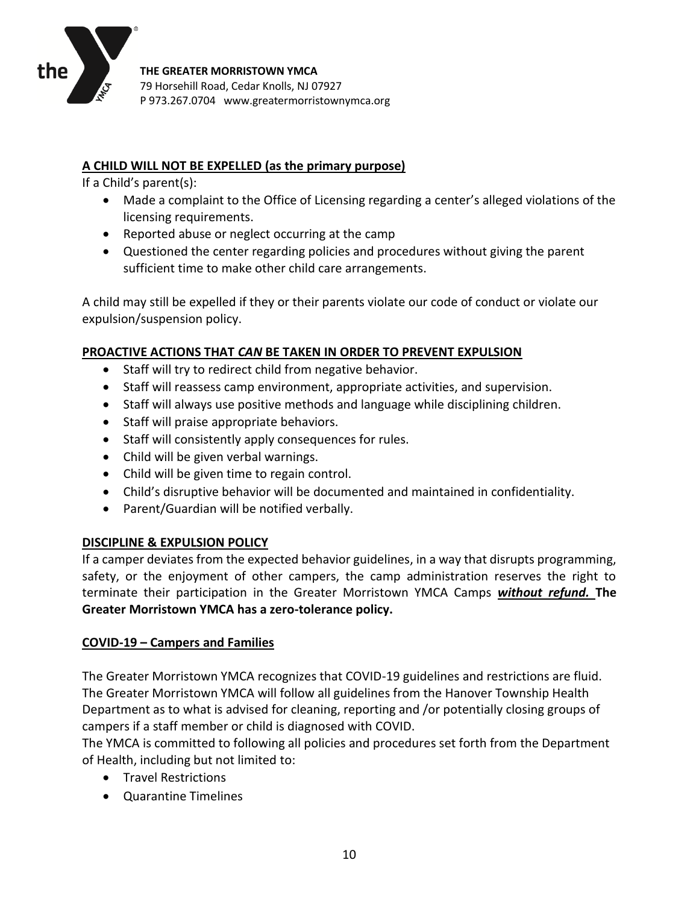

# **A CHILD WILL NOT BE EXPELLED (as the primary purpose)**

If a Child's parent(s):

- Made a complaint to the Office of Licensing regarding a center's alleged violations of the licensing requirements.
- Reported abuse or neglect occurring at the camp
- Questioned the center regarding policies and procedures without giving the parent sufficient time to make other child care arrangements.

A child may still be expelled if they or their parents violate our code of conduct or violate our expulsion/suspension policy.

# **PROACTIVE ACTIONS THAT** *CAN* **BE TAKEN IN ORDER TO PREVENT EXPULSION**

- Staff will try to redirect child from negative behavior.
- Staff will reassess camp environment, appropriate activities, and supervision.
- Staff will always use positive methods and language while disciplining children.
- Staff will praise appropriate behaviors.
- Staff will consistently apply consequences for rules.
- Child will be given verbal warnings.
- Child will be given time to regain control.
- Child's disruptive behavior will be documented and maintained in confidentiality.
- Parent/Guardian will be notified verbally.

## **DISCIPLINE & EXPULSION POLICY**

If a camper deviates from the expected behavior guidelines, in a way that disrupts programming, safety, or the enjoyment of other campers, the camp administration reserves the right to terminate their participation in the Greater Morristown YMCA Camps *without refund.* **The Greater Morristown YMCA has a zero-tolerance policy.**

## **COVID-19 – Campers and Families**

The Greater Morristown YMCA recognizes that COVID-19 guidelines and restrictions are fluid. The Greater Morristown YMCA will follow all guidelines from the Hanover Township Health Department as to what is advised for cleaning, reporting and /or potentially closing groups of campers if a staff member or child is diagnosed with COVID.

The YMCA is committed to following all policies and procedures set forth from the Department of Health, including but not limited to:

- Travel Restrictions
- Quarantine Timelines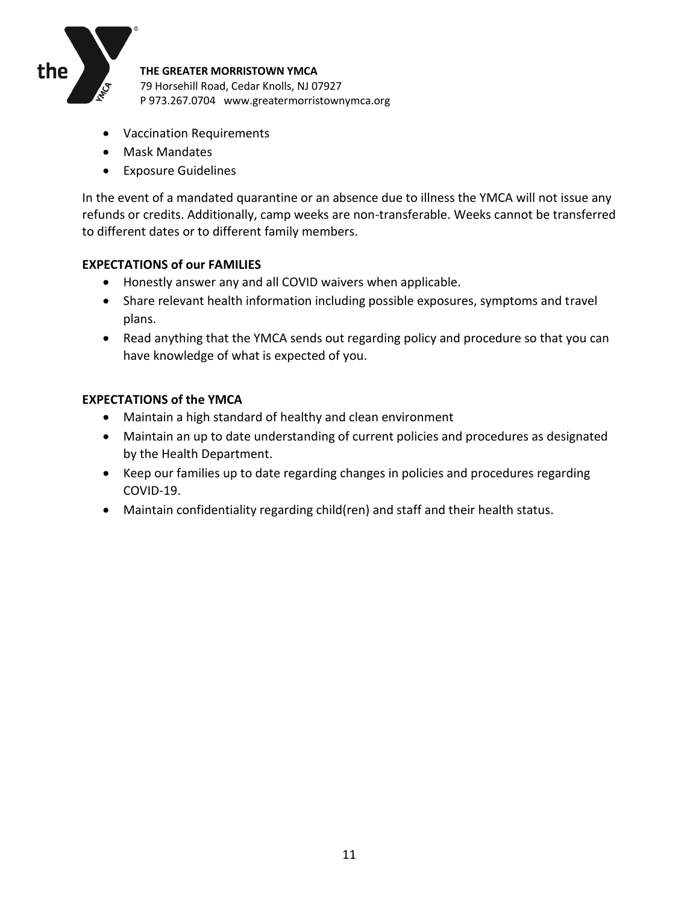

- Vaccination Requirements
- Mask Mandates
- Exposure Guidelines

In the event of a mandated quarantine or an absence due to illness the YMCA will not issue any refunds or credits. Additionally, camp weeks are non-transferable. Weeks cannot be transferred to different dates or to different family members.

## **EXPECTATIONS of our FAMILIES**

- Honestly answer any and all COVID waivers when applicable.
- Share relevant health information including possible exposures, symptoms and travel plans.
- Read anything that the YMCA sends out regarding policy and procedure so that you can have knowledge of what is expected of you.

## **EXPECTATIONS of the YMCA**

- Maintain a high standard of healthy and clean environment
- Maintain an up to date understanding of current policies and procedures as designated by the Health Department.
- Keep our families up to date regarding changes in policies and procedures regarding COVID-19.
- Maintain confidentiality regarding child(ren) and staff and their health status.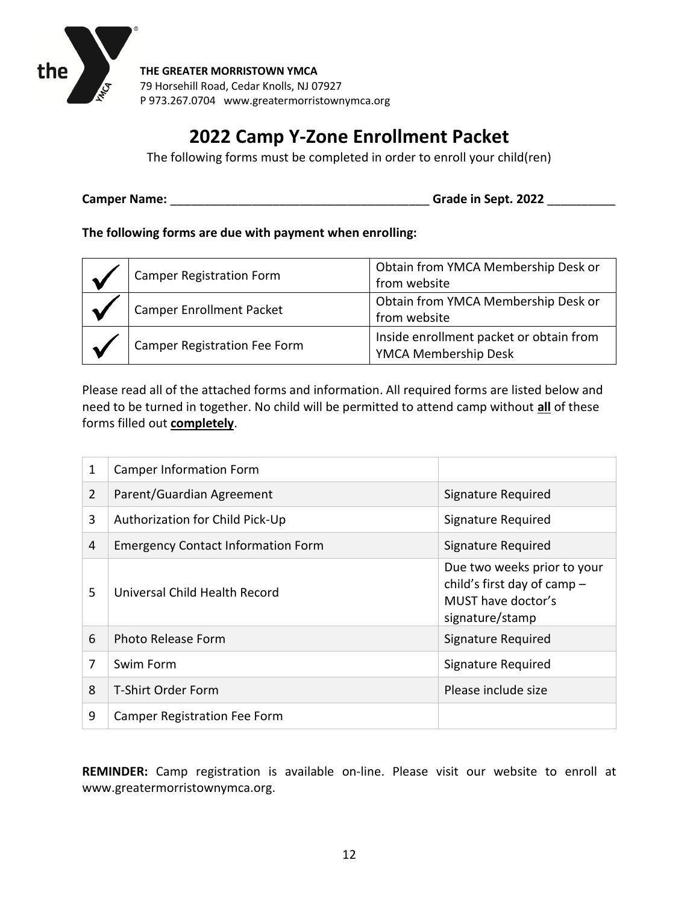

# **2022 Camp Y-Zone Enrollment Packet**

The following forms must be completed in order to enroll your child(ren)

**Camper Name:** \_\_\_\_\_\_\_\_\_\_\_\_\_\_\_\_\_\_\_\_\_\_\_\_\_\_\_\_\_\_\_\_\_\_\_\_\_\_ **Grade in Sept. 2022** \_\_\_\_\_\_\_\_\_\_

**The following forms are due with payment when enrolling:**

| Camper Registration Form     | Obtain from YMCA Membership Desk or<br>from website             |
|------------------------------|-----------------------------------------------------------------|
| Camper Enrollment Packet     | Obtain from YMCA Membership Desk or<br>from website             |
| Camper Registration Fee Form | Inside enrollment packet or obtain from<br>YMCA Membership Desk |

Please read all of the attached forms and information. All required forms are listed below and need to be turned in together. No child will be permitted to attend camp without **all** of these forms filled out **completely**.

| 1              | <b>Camper Information Form</b>            |                                                                                                     |
|----------------|-------------------------------------------|-----------------------------------------------------------------------------------------------------|
| $\overline{2}$ | Parent/Guardian Agreement                 | Signature Required                                                                                  |
| 3              | Authorization for Child Pick-Up           | Signature Required                                                                                  |
| 4              | <b>Emergency Contact Information Form</b> | Signature Required                                                                                  |
| 5              | Universal Child Health Record             | Due two weeks prior to your<br>child's first day of camp -<br>MUST have doctor's<br>signature/stamp |
| 6              | <b>Photo Release Form</b>                 | Signature Required                                                                                  |
| 7              | Swim Form                                 | Signature Required                                                                                  |
| 8              | <b>T-Shirt Order Form</b>                 | Please include size                                                                                 |
| 9              | <b>Camper Registration Fee Form</b>       |                                                                                                     |

**REMINDER:** Camp registration is available on-line. Please visit our website to enroll at www.greatermorristownymca.org.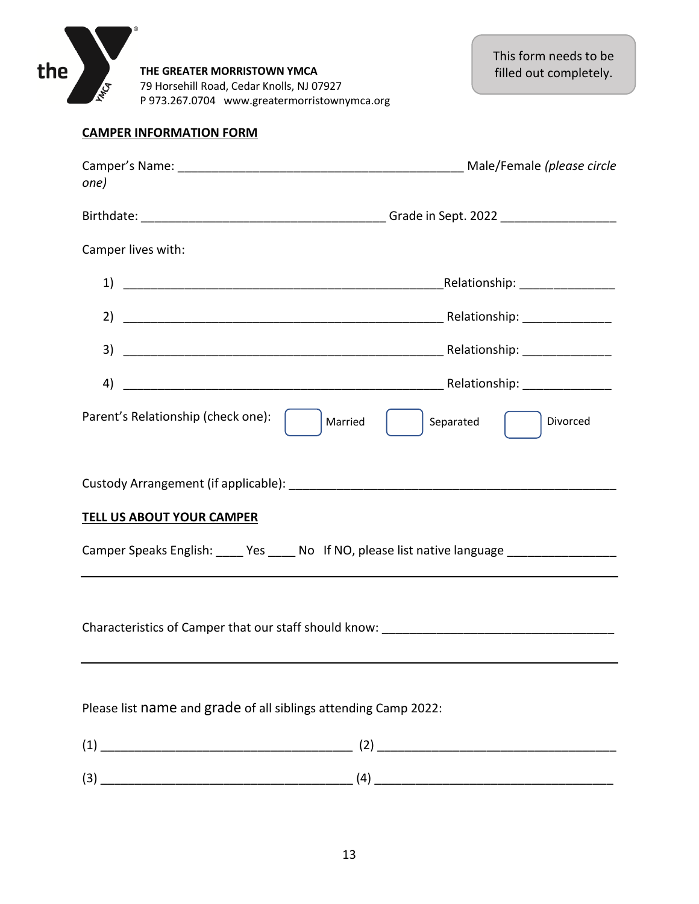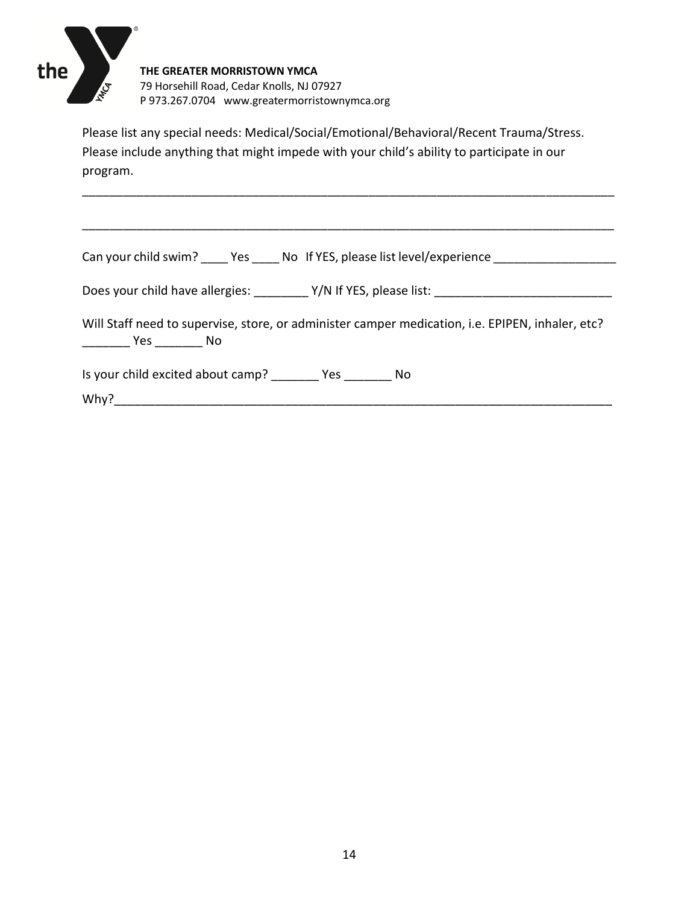

Please list any special needs: Medical/Social/Emotional/Behavioral/Recent Trauma/Stress. Please include anything that might impede with your child's ability to participate in our program.

\_\_\_\_\_\_\_\_\_\_\_\_\_\_\_\_\_\_\_\_\_\_\_\_\_\_\_\_\_\_\_\_\_\_\_\_\_\_\_\_\_\_\_\_\_\_\_\_\_\_\_\_\_\_\_\_\_\_\_\_\_\_\_\_\_\_\_\_\_\_\_\_\_\_\_\_\_\_

\_\_\_\_\_\_\_\_\_\_\_\_\_\_\_\_\_\_\_\_\_\_\_\_\_\_\_\_\_\_\_\_\_\_\_\_\_\_\_\_\_\_\_\_\_\_\_\_\_\_\_\_\_\_\_\_\_\_\_\_\_\_\_\_\_\_\_\_\_\_\_\_\_\_\_\_\_\_

Can your child swim? \_\_\_\_\_ Yes \_\_\_\_\_ No If YES, please list level/experience \_\_\_\_\_\_\_\_\_\_\_\_\_\_\_\_\_\_\_\_\_\_

Does your child have allergies: \_\_\_\_\_\_\_\_ Y/N If YES, please list: \_\_\_\_\_\_\_\_\_\_\_\_\_\_\_\_\_\_\_\_\_\_\_\_\_\_

Will Staff need to supervise, store, or administer camper medication, i.e. EPIPEN, inhaler, etc? \_\_\_\_\_\_\_ Yes \_\_\_\_\_\_\_ No

Is your child excited about camp? \_\_\_\_\_\_\_ Yes \_\_\_\_\_\_\_ No

 $Why?$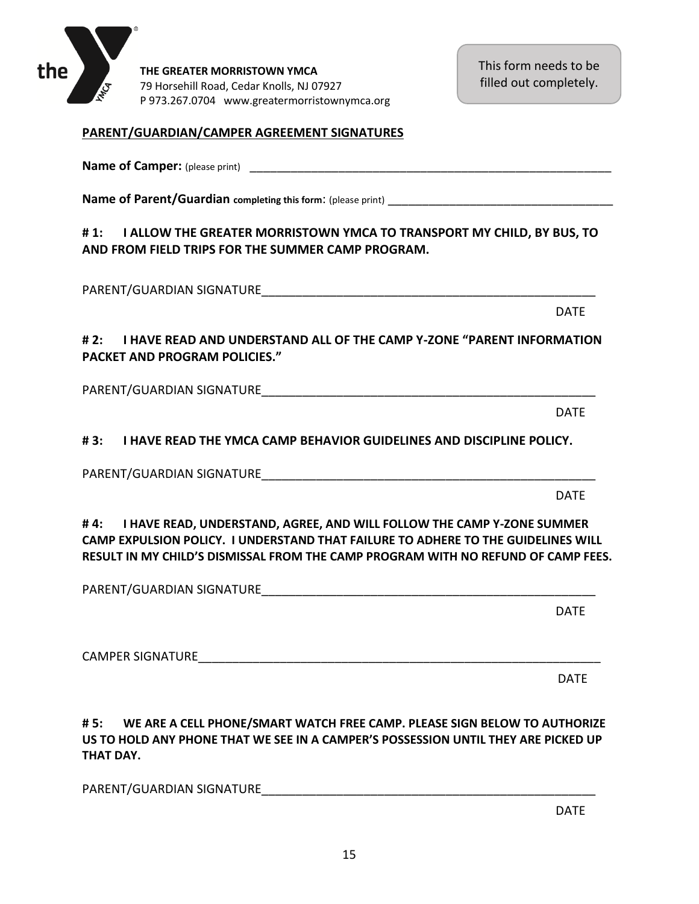This form needs to be filled out completely.

## **PARENT/GUARDIAN/CAMPER AGREEMENT SIGNATURES**

**Name of Parent/Guardian completing this form:** (please print)

**Name of Camper:** (please print) \_\_\_\_\_\_\_\_\_\_\_\_\_\_\_\_\_\_\_\_\_\_\_\_\_\_\_\_\_\_\_\_\_\_\_\_\_\_\_\_\_\_\_\_\_\_\_\_\_\_\_\_\_

# **# 1: I ALLOW THE GREATER MORRISTOWN YMCA TO TRANSPORT MY CHILD, BY BUS, TO AND FROM FIELD TRIPS FOR THE SUMMER CAMP PROGRAM.**

PARENT/GUARDIAN SIGNATURE\_\_\_\_\_\_\_\_\_\_\_\_\_\_\_\_\_\_\_\_\_\_\_\_\_\_\_\_\_\_\_\_\_\_\_\_\_\_\_\_\_\_\_\_\_\_\_\_\_

**# 2: I HAVE READ AND UNDERSTAND ALL OF THE CAMP Y-ZONE "PARENT INFORMATION PACKET AND PROGRAM POLICIES."**

PARENT/GUARDIAN SIGNATURE

**# 3: I HAVE READ THE YMCA CAMP BEHAVIOR GUIDELINES AND DISCIPLINE POLICY.**

PARENT/GUARDIAN SIGNATURE\_\_\_\_\_\_\_\_\_\_\_\_\_\_\_\_\_\_\_\_\_\_\_\_\_\_\_\_\_\_\_\_\_\_\_\_\_\_\_\_\_\_\_\_\_\_\_\_\_

**# 4: I HAVE READ, UNDERSTAND, AGREE, AND WILL FOLLOW THE CAMP Y-ZONE SUMMER CAMP EXPULSION POLICY. I UNDERSTAND THAT FAILURE TO ADHERE TO THE GUIDELINES WILL RESULT IN MY CHILD'S DISMISSAL FROM THE CAMP PROGRAM WITH NO REFUND OF CAMP FEES.**

PARENT/GUARDIAN SIGNATURE

CAMPER SIGNATURE

**# 5: WE ARE A CELL PHONE/SMART WATCH FREE CAMP. PLEASE SIGN BELOW TO AUTHORIZE US TO HOLD ANY PHONE THAT WE SEE IN A CAMPER'S POSSESSION UNTIL THEY ARE PICKED UP THAT DAY.**

PARENT/GUARDIAN SIGNATURE\_\_\_\_\_\_\_\_\_\_\_\_\_\_\_\_\_\_\_\_\_\_\_\_\_\_\_\_\_\_\_\_\_\_\_\_\_\_\_\_\_\_\_\_\_\_\_\_\_

DATE

DATE

DATE

DATE

DATE

DATE

the

**THE GREATER MORRISTOWN YMCA** 79 Horsehill Road, Cedar Knolls, NJ 07927 P 973.267.0704 www.greatermorristownymca.org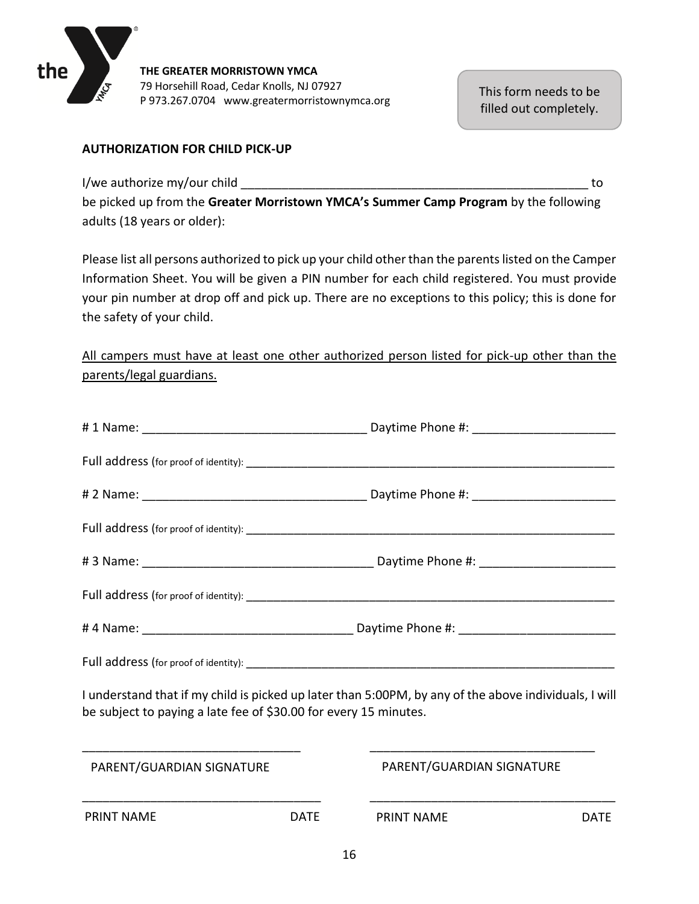

## **AUTHORIZATION FOR CHILD PICK-UP**

I/we authorize my/our child  $\blacksquare$ 

be picked up from the **Greater Morristown YMCA's Summer Camp Program** by the following adults (18 years or older):

Please list all persons authorized to pick up your child other than the parents listed on the Camper Information Sheet. You will be given a PIN number for each child registered. You must provide your pin number at drop off and pick up. There are no exceptions to this policy; this is done for the safety of your child.

All campers must have at least one other authorized person listed for pick-up other than the parents/legal guardians.

| I understand that if my child is picked up later than 5:00PM, by any of the above individuals, I will<br>be subject to paying a late fee of \$30.00 for every 15 minutes. |                           |
|---------------------------------------------------------------------------------------------------------------------------------------------------------------------------|---------------------------|
| PARENT/GUARDIAN SIGNATURE                                                                                                                                                 | PARENT/GUARDIAN SIGNATURE |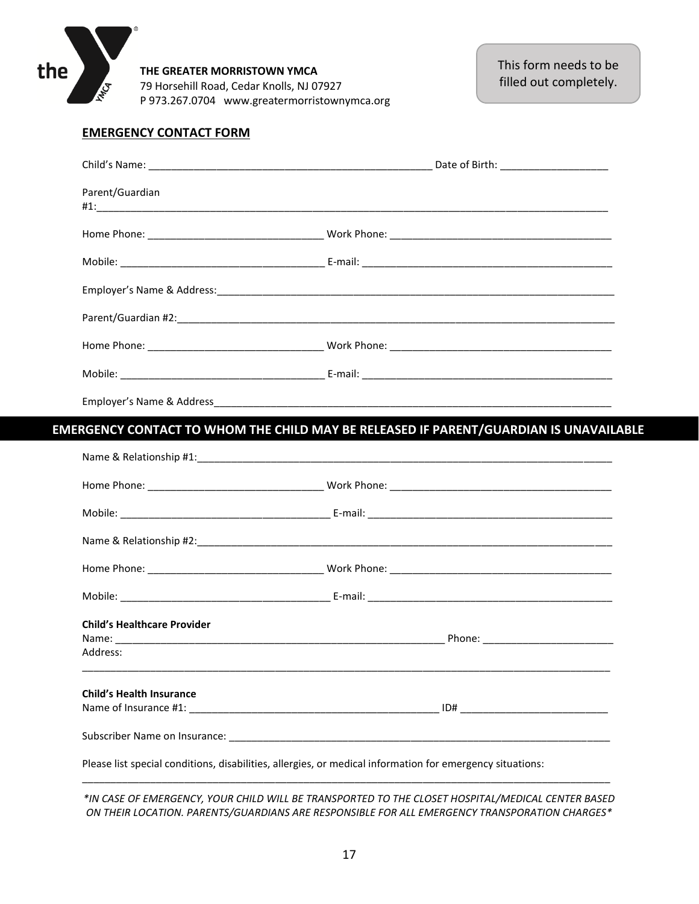

#### **EMERGENCY CONTACT FORM**

| Parent/Guardian                    |                                                                                       |  |
|------------------------------------|---------------------------------------------------------------------------------------|--|
|                                    |                                                                                       |  |
|                                    |                                                                                       |  |
|                                    |                                                                                       |  |
|                                    |                                                                                       |  |
|                                    |                                                                                       |  |
|                                    |                                                                                       |  |
|                                    |                                                                                       |  |
|                                    | EMERGENCY CONTACT TO WHOM THE CHILD MAY BE RELEASED IF PARENT/GUARDIAN IS UNAVAILABLE |  |
|                                    |                                                                                       |  |
|                                    |                                                                                       |  |
|                                    |                                                                                       |  |
|                                    |                                                                                       |  |
|                                    |                                                                                       |  |
|                                    |                                                                                       |  |
| <b>Child's Healthcare Provider</b> |                                                                                       |  |
|                                    |                                                                                       |  |
|                                    |                                                                                       |  |
| Address:                           |                                                                                       |  |
| <b>Child's Health Insurance</b>    |                                                                                       |  |
|                                    |                                                                                       |  |

*\*IN CASE OF EMERGENCY, YOUR CHILD WILL BE TRANSPORTED TO THE CLOSET HOSPITAL/MEDICAL CENTER BASED ON THEIR LOCATION. PARENTS/GUARDIANS ARE RESPONSIBLE FOR ALL EMERGENCY TRANSPORATION CHARGES\**

\_\_\_\_\_\_\_\_\_\_\_\_\_\_\_\_\_\_\_\_\_\_\_\_\_\_\_\_\_\_\_\_\_\_\_\_\_\_\_\_\_\_\_\_\_\_\_\_\_\_\_\_\_\_\_\_\_\_\_\_\_\_\_\_\_\_\_\_\_\_\_\_\_\_\_\_\_\_\_\_\_\_\_\_\_\_\_\_\_\_\_\_\_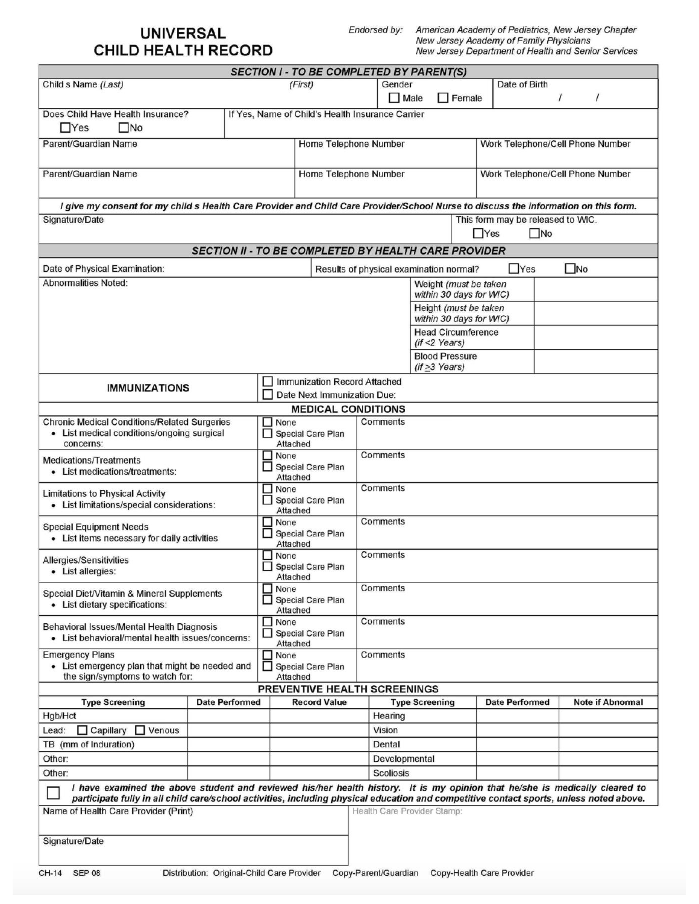# **UNIVERSAL** CHILD HEALTH RECORD

Endorsed by:

American Academy of Pediatrics, New Jersey Chapter<br>New Jersey Academy of Family Physicians<br>New Jersey Department of Health and Senior Services

| <b>SECTION I - TO BE COMPLETED BY PARENT(S)</b>                                                                                                                                                                                                                        |                                                             |                                                  |                                           |                                                           |                      |                                                   |            |                                   |              |                         |
|------------------------------------------------------------------------------------------------------------------------------------------------------------------------------------------------------------------------------------------------------------------------|-------------------------------------------------------------|--------------------------------------------------|-------------------------------------------|-----------------------------------------------------------|----------------------|---------------------------------------------------|------------|-----------------------------------|--------------|-------------------------|
| Child s Name (Last)                                                                                                                                                                                                                                                    |                                                             |                                                  | (First)                                   |                                                           | Gender               |                                                   |            | Date of Birth                     |              |                         |
|                                                                                                                                                                                                                                                                        |                                                             |                                                  |                                           |                                                           | Male                 | $\Box$ Female                                     |            |                                   | $\prime$     | $\prime$                |
| Does Child Have Health Insurance?<br>$\Box$ Yes<br>$\square$ No                                                                                                                                                                                                        |                                                             | If Yes, Name of Child's Health Insurance Carrier |                                           |                                                           |                      |                                                   |            |                                   |              |                         |
| Parent/Guardian Name                                                                                                                                                                                                                                                   |                                                             |                                                  |                                           | Home Telephone Number<br>Work Telephone/Cell Phone Number |                      |                                                   |            |                                   |              |                         |
| Parent/Guardian Name                                                                                                                                                                                                                                                   |                                                             |                                                  | Home Telephone Number                     |                                                           |                      |                                                   |            | Work Telephone/Cell Phone Number  |              |                         |
| I give my consent for my child s Health Care Provider and Child Care Provider/School Nurse to discuss the information on this form.                                                                                                                                    |                                                             |                                                  |                                           |                                                           |                      |                                                   |            |                                   |              |                         |
| Signature/Date                                                                                                                                                                                                                                                         |                                                             |                                                  |                                           |                                                           |                      |                                                   |            | This form may be released to WIC. |              |                         |
|                                                                                                                                                                                                                                                                        |                                                             |                                                  |                                           |                                                           |                      |                                                   | $\Box$ Yes | $\square$ No                      |              |                         |
|                                                                                                                                                                                                                                                                        | <b>SECTION II - TO BE COMPLETED BY HEALTH CARE PROVIDER</b> |                                                  |                                           |                                                           |                      |                                                   |            |                                   |              |                         |
| Date of Physical Examination:                                                                                                                                                                                                                                          |                                                             |                                                  |                                           |                                                           |                      | Results of physical examination normal?           |            | $\Box$ Yes                        | $\square$ No |                         |
| <b>Abnormalities Noted:</b>                                                                                                                                                                                                                                            |                                                             |                                                  |                                           |                                                           |                      | Weight (must be taken                             |            |                                   |              |                         |
|                                                                                                                                                                                                                                                                        |                                                             |                                                  |                                           |                                                           |                      | within 30 days for WIC)                           |            |                                   |              |                         |
|                                                                                                                                                                                                                                                                        |                                                             |                                                  |                                           |                                                           |                      | Height (must be taken<br>within 30 days for WIC)  |            |                                   |              |                         |
|                                                                                                                                                                                                                                                                        |                                                             |                                                  |                                           |                                                           |                      | <b>Head Circumference</b>                         |            |                                   |              |                         |
|                                                                                                                                                                                                                                                                        |                                                             |                                                  |                                           |                                                           |                      | $(if < 2 \text{ Years})$                          |            |                                   |              |                         |
|                                                                                                                                                                                                                                                                        |                                                             |                                                  |                                           |                                                           |                      | <b>Blood Pressure</b><br>$(if > 3 \text{ Years})$ |            |                                   |              |                         |
| <b>IMMUNIZATIONS</b>                                                                                                                                                                                                                                                   |                                                             |                                                  | <b>Immunization Record Attached</b>       |                                                           |                      |                                                   |            |                                   |              |                         |
|                                                                                                                                                                                                                                                                        |                                                             |                                                  | Date Next Immunization Due:               |                                                           |                      |                                                   |            |                                   |              |                         |
|                                                                                                                                                                                                                                                                        |                                                             |                                                  | <b>MEDICAL CONDITIONS</b>                 |                                                           |                      |                                                   |            |                                   |              |                         |
| <b>Chronic Medical Conditions/Related Surgeries</b><br>• List medical conditions/ongoing surgical<br>concerns:                                                                                                                                                         |                                                             | $\Box$ None                                      | Comments<br>Special Care Plan<br>Attached |                                                           |                      |                                                   |            |                                   |              |                         |
| <b>Medications/Treatments</b>                                                                                                                                                                                                                                          |                                                             | $\Box$ None                                      |                                           |                                                           | Comments             |                                                   |            |                                   |              |                         |
| • List medications/treatments:                                                                                                                                                                                                                                         |                                                             |                                                  | Special Care Plan<br>Attached             |                                                           |                      |                                                   |            |                                   |              |                         |
| <b>Limitations to Physical Activity</b><br>List limitations/special considerations:                                                                                                                                                                                    |                                                             | $\Box$ None                                      | <b>Special Care Plan</b><br>Attached      | Comments                                                  |                      |                                                   |            |                                   |              |                         |
| <b>Special Equipment Needs</b><br>• List items necessary for daily activities                                                                                                                                                                                          |                                                             | None<br>Attached                                 | <b>Special Care Plan</b>                  |                                                           | Comments             |                                                   |            |                                   |              |                         |
| Allergies/Sensitivities<br>• List allergies:                                                                                                                                                                                                                           |                                                             | None                                             | <b>Special Care Plan</b><br>Attached      |                                                           | Comments             |                                                   |            |                                   |              |                         |
| Special Diet/Vitamin & Mineral Supplements<br>• List dietary specifications:                                                                                                                                                                                           |                                                             | None                                             | <b>Special Care Plan</b><br>Attached      |                                                           | Comments             |                                                   |            |                                   |              |                         |
| Behavioral Issues/Mental Health Diagnosis<br>List behavioral/mental health issues/concerns:                                                                                                                                                                            |                                                             | None<br>H<br>⊔                                   | <b>Special Care Plan</b><br>Attached      |                                                           | Comments             |                                                   |            |                                   |              |                         |
| <b>Emergency Plans</b><br>• List emergency plan that might be needed and                                                                                                                                                                                               |                                                             | $\Box$ None                                      | <b>Special Care Plan</b>                  |                                                           | Comments             |                                                   |            |                                   |              |                         |
| the sign/symptoms to watch for:                                                                                                                                                                                                                                        |                                                             |                                                  | Attached<br>PREVENTIVE HEALTH SCREENINGS  |                                                           |                      |                                                   |            |                                   |              |                         |
| <b>Type Screening</b>                                                                                                                                                                                                                                                  | <b>Date Performed</b>                                       |                                                  | <b>Record Value</b>                       |                                                           |                      | <b>Type Screening</b>                             |            | <b>Date Performed</b>             |              | <b>Note if Abnormal</b> |
| Hgb/Hct                                                                                                                                                                                                                                                                |                                                             |                                                  |                                           |                                                           | Hearing              |                                                   |            |                                   |              |                         |
| $\Box$ Capillary<br>$\Box$ Venous<br>Lead:                                                                                                                                                                                                                             |                                                             |                                                  |                                           |                                                           | Vision               |                                                   |            |                                   |              |                         |
| TB (mm of Induration)                                                                                                                                                                                                                                                  |                                                             |                                                  |                                           |                                                           | Dental               |                                                   |            |                                   |              |                         |
| Other:                                                                                                                                                                                                                                                                 |                                                             |                                                  |                                           |                                                           | Developmental        |                                                   |            |                                   |              |                         |
| Other:                                                                                                                                                                                                                                                                 |                                                             |                                                  |                                           |                                                           | <b>Scoliosis</b>     |                                                   |            |                                   |              |                         |
| I have examined the above student and reviewed his/her health history. It is my opinion that he/she is medically cleared to<br>participate fully in all child care/school activities, including physical education and competitive contact sports, unless noted above. |                                                             |                                                  |                                           |                                                           |                      |                                                   |            |                                   |              |                         |
| Name of Health Care Provider (Print)                                                                                                                                                                                                                                   |                                                             |                                                  |                                           |                                                           |                      | Health Care Provider Stamp:                       |            |                                   |              |                         |
| Signature/Date                                                                                                                                                                                                                                                         |                                                             |                                                  |                                           |                                                           |                      |                                                   |            |                                   |              |                         |
| <b>SEP 08</b><br>CH-14                                                                                                                                                                                                                                                 | Distribution: Original-Child Care Provider                  |                                                  |                                           |                                                           | Copy-Parent/Guardian |                                                   |            | Copy-Health Care Provider         |              |                         |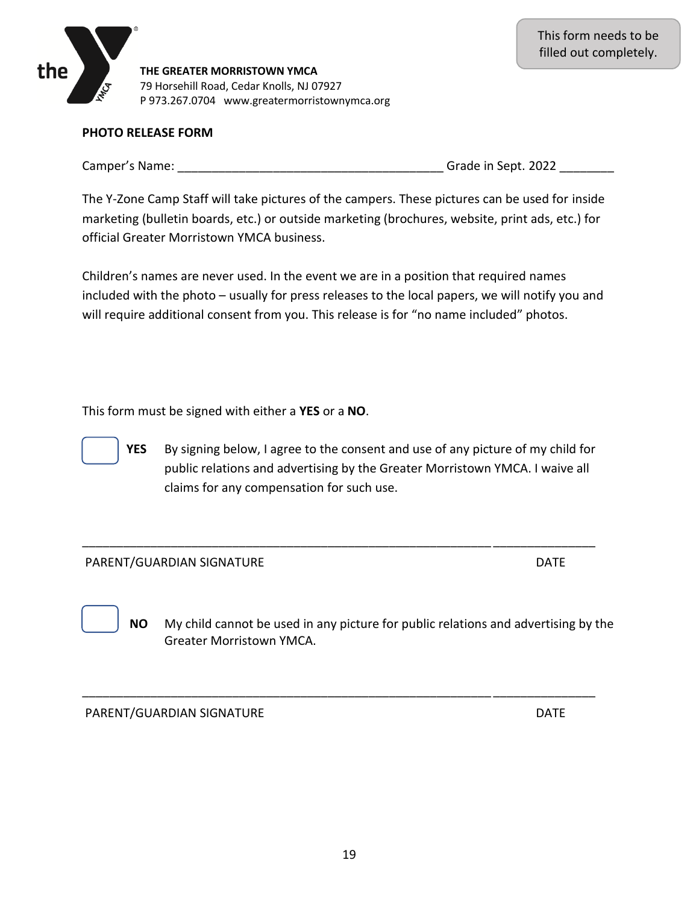## **PHOTO RELEASE FORM**

the

Camper's Name: The Camper's Name: The Camper's Name: The Camper's Name: The Camper's Name: The Campen of the Ca

The Y-Zone Camp Staff will take pictures of the campers. These pictures can be used for inside marketing (bulletin boards, etc.) or outside marketing (brochures, website, print ads, etc.) for official Greater Morristown YMCA business.

Children's names are never used. In the event we are in a position that required names included with the photo – usually for press releases to the local papers, we will notify you and will require additional consent from you. This release is for "no name included" photos.

This form must be signed with either a **YES** or a **NO**.

**YES** By signing below, I agree to the consent and use of any picture of my child for public relations and advertising by the Greater Morristown YMCA. I waive all claims for any compensation for such use.

\_\_\_\_\_\_\_\_\_\_\_\_\_\_\_\_\_\_\_\_\_\_\_\_\_\_\_\_\_\_\_\_\_\_\_\_\_\_\_\_\_\_\_\_\_\_\_\_\_\_\_\_\_\_\_\_\_\_\_\_ \_\_\_\_\_\_\_\_\_\_\_\_\_\_\_

\_\_\_\_\_\_\_\_\_\_\_\_\_\_\_\_\_\_\_\_\_\_\_\_\_\_\_\_\_\_\_\_\_\_\_\_\_\_\_\_\_\_\_\_\_\_\_\_\_\_\_\_\_\_\_\_\_\_\_\_ \_\_\_\_\_\_\_\_\_\_\_\_\_\_\_

## PARENT/GUARDIAN SIGNATURE NATURE AND DATE DATE

 **NO** My child cannot be used in any picture for public relations and advertising by the Greater Morristown YMCA.

PARENT/GUARDIAN SIGNATURE NATURE AND THE SERVICE OF THE SERVICE OF THE SERVICE OF THE SERVICE OF THE SERVICE OF THE SERVICE OF THE SERVICE OF THE SERVICE OF THE SERVICE OF THE SERVICE OF THE SERVICE OF THE SERVICE OF THE S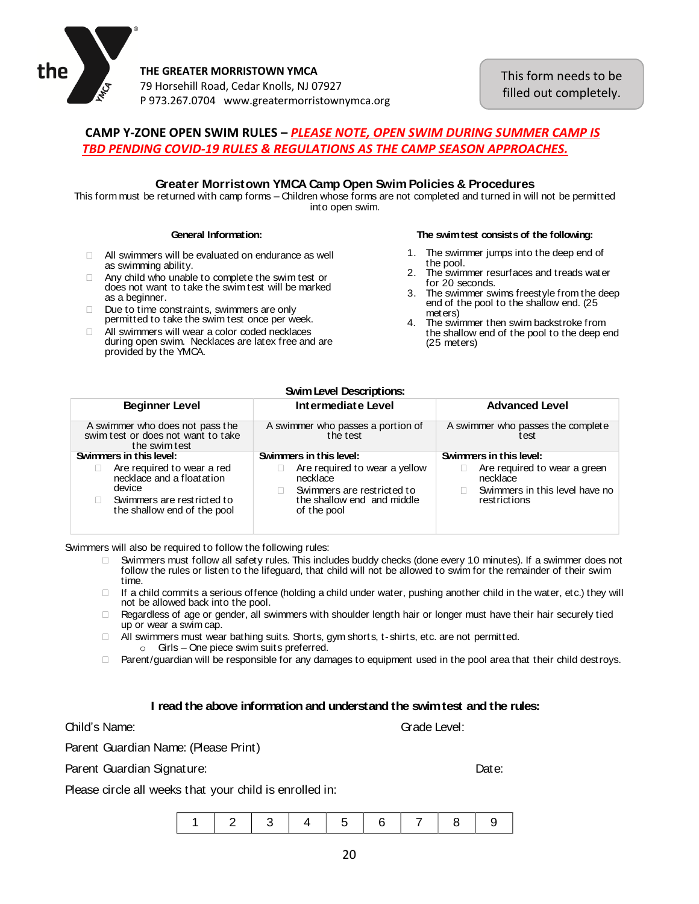

This form needs to be filled out completely.

## **CAMP Y-ZONE OPEN SWIM RULES –** *PLEASE NOTE, OPEN SWIM DURING SUMMER CAMP IS TBD PENDING COVID-19 RULES & REGULATIONS AS THE CAMP SEASON APPROACHES.*

#### **Greater Morristown YMCA Camp Open SwimPolicies & Procedures**

This form must be returned with camp forms – Children whose forms are not completed and turned in will not be permitted into open swim.

#### **General Information:**

- $\Box$  All swimmers will be evaluated on endurance as well as swimming ability.
- $\Box$  Any child who unable to complete the swim test or does not want to take the swim test will be marked as a beginner.
- Due to time constraints, swimmers are only permitted to take the swim test once per week.
- $\Box$  All swimmers will wear a color coded necklaces during open swim. Necklaces are latex free and are provided by the YMCA.

#### **The swimtest consists of the following:**

- 1. The swimmer jumps into the deep end of t he pool.
- 2. The swimmer resurfaces and treads water for 20 seconds.
- 3 . The swimmer swims freestyle from the deep end of the pool to the shallow end. (25 meters)
- 4. The swimmer then swim backstroke from the shallow end of the pool to the deep end (25 meters)

#### **SwimLevel Descriptions:**

| <b>Beginner Level</b>                                                                                                            | Intermediate Level                                                                                                   | <b>Advanced Level</b>                                                                      |
|----------------------------------------------------------------------------------------------------------------------------------|----------------------------------------------------------------------------------------------------------------------|--------------------------------------------------------------------------------------------|
| A swimmer who does not pass the<br>swim test or does not want to take<br>the swim test                                           | A swimmer who passes a portion of<br>the test                                                                        | A swimmer who passes the complete<br>test                                                  |
| Swimmers in this level:                                                                                                          | Swimmers in this level:                                                                                              | Swimmers in this level:                                                                    |
| Are required to wear a red<br>necklace and a float at ion<br>device<br>Swimmers are restricted to<br>the shallow end of the pool | Are required to wear a yellow<br>necklace<br>Swimmers are restricted to<br>the shallow end and middle<br>of the pool | Are required to wear a green<br>necklace<br>Swimmers in this level have no<br>restrictions |

Swimmers will also be required to follow the following rules:

- Swimmers must follow all safety rules. This includes buddy checks (done every 10 minutes). If <sup>a</sup> swimmer does not follow the rules or listen to the lifeguard, that child will not be allowed to swim for the remainder of their swim t ime.
- $\Box$  If a child commits a serious offence (holding a child under water, pushing another child in the water, etc.) they will not be allowed back into the pool.
- $\Box$  Regardless of age or gender, all swimmers with shoulder length hair or longer must have their hair securely tied up or wear <sup>a</sup> swim cap.
- $\Box$  All swimmers must wear bathing suits. Shorts, gym shorts, t-shirts, etc. are not permitted. <sup>o</sup> Girls – One piece swim suits preferred.
- □ Parent/guardian will be responsible for any damages to equipment used in the pool area that their child destroys.

#### **I read the above information and understand the swimtest and the rules:**

Grade Level:

Parent Guardian Name: (Please Print)

Parent Guardian Signature: Date: Date: Date: Date: Date: Date: Date: Date: Date: Date: Date: Date: Date: Date: Date: Date: Date: Date: Date: Date: Date: Date: Date: Date: Date: Date: Date: Date: Date: Date: Date: Date: Dat

Please circle all weeks that your child is enrolled in:

|--|--|--|--|--|--|--|--|--|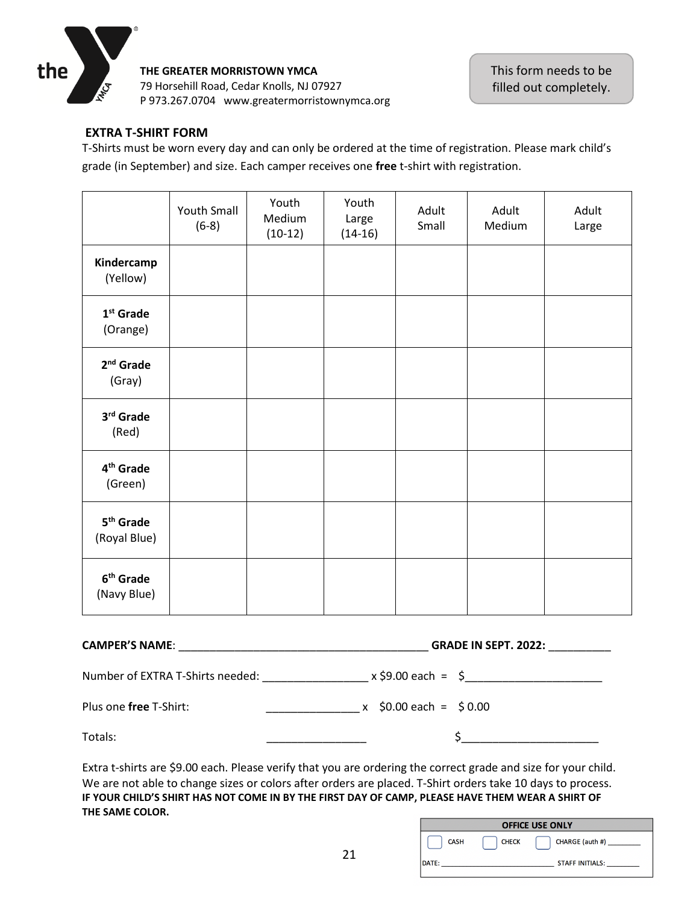

## **EXTRA T-SHIRT FORM**

T-Shirts must be worn every day and can only be ordered at the time of registration. Please mark child's grade (in September) and size. Each camper receives one **free** t-shirt with registration.

|                                       | <b>Youth Small</b><br>$(6-8)$ | Youth<br>Medium<br>$(10-12)$ | Youth<br>Large<br>$(14-16)$ | Adult<br>Small | Adult<br>Medium | Adult<br>Large |
|---------------------------------------|-------------------------------|------------------------------|-----------------------------|----------------|-----------------|----------------|
| Kindercamp<br>(Yellow)                |                               |                              |                             |                |                 |                |
| $1st$ Grade<br>(Orange)               |                               |                              |                             |                |                 |                |
| $2nd$ Grade<br>(Gray)                 |                               |                              |                             |                |                 |                |
| 3rd Grade<br>(Red)                    |                               |                              |                             |                |                 |                |
| 4 <sup>th</sup> Grade<br>(Green)      |                               |                              |                             |                |                 |                |
| 5 <sup>th</sup> Grade<br>(Royal Blue) |                               |                              |                             |                |                 |                |
| 6 <sup>th</sup> Grade<br>(Navy Blue)  |                               |                              |                             |                |                 |                |

|                                                                                                                                                                                                                                                                | GRADE IN SEPT. 2022:                                                                                           |  |  |  |
|----------------------------------------------------------------------------------------------------------------------------------------------------------------------------------------------------------------------------------------------------------------|----------------------------------------------------------------------------------------------------------------|--|--|--|
|                                                                                                                                                                                                                                                                |                                                                                                                |  |  |  |
| Plus one free T-Shirt:<br><u>and the company of the company of the company of the company of the company of the company of the company of the company of the company of the company of the company of the company of the company of the company of the com</u> | $x$ \$0.00 each = \$0.00                                                                                       |  |  |  |
| Totals:                                                                                                                                                                                                                                                        | $\mathsf{s}$ _____________                                                                                     |  |  |  |
|                                                                                                                                                                                                                                                                | Extra t-shirts are \$9.00 each. Please verify that you are ordering the correct grade and size for your child. |  |  |  |

a t-shirts are \$9.00 each. Please verify that you are ordering the correct grade and size for your ci We are not able to change sizes or colors after orders are placed. T-Shirt orders take 10 days to process. **IF YOUR CHILD'S SHIRT HAS NOT COME IN BY THE FIRST DAY OF CAMP, PLEASE HAVE THEM WEAR A SHIRT OF THE SAME COLOR.**

| <b>OFFICE USE ONLY</b> |              |                           |  |  |  |  |
|------------------------|--------------|---------------------------|--|--|--|--|
| <b>CASH</b>            | <b>CHECK</b> | CHARGE (auth #) _________ |  |  |  |  |
| DATE:                  |              | <b>STAFF INITIALS:</b>    |  |  |  |  |